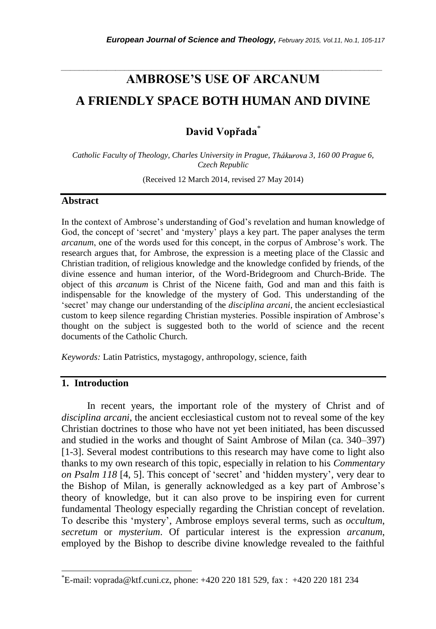# **AMBROSE'S USE OF ARCANUM A FRIENDLY SPACE BOTH HUMAN AND DIVINE**

*\_\_\_\_\_\_\_\_\_\_\_\_\_\_\_\_\_\_\_\_\_\_\_\_\_\_\_\_\_\_\_\_\_\_\_\_\_\_\_\_\_\_\_\_\_\_\_\_\_\_\_\_\_\_\_\_\_\_\_\_\_\_\_\_\_\_\_\_\_\_\_*

**David Vopřada**\*

*Catholic Faculty of Theology, Charles University in Prague, 3, 160 00 Prague 6, Czech Republic*

(Received 12 March 2014, revised 27 May 2014)

#### **Abstract**

In the context of Ambrose"s understanding of God"s revelation and human knowledge of God, the concept of "secret" and "mystery" plays a key part. The paper analyses the term *arcanum*, one of the words used for this concept, in the corpus of Ambrose's work. The research argues that, for Ambrose, the expression is a meeting place of the Classic and Christian tradition, of religious knowledge and the knowledge confided by friends, of the divine essence and human interior, of the Word-Bridegroom and Church-Bride. The object of this *arcanum* is Christ of the Nicene faith, God and man and this faith is indispensable for the knowledge of the mystery of God. This understanding of the "secret" may change our understanding of the *disciplina arcani*, the ancient ecclesiastical custom to keep silence regarding Christian mysteries. Possible inspiration of Ambrose"s thought on the subject is suggested both to the world of science and the recent documents of the Catholic Church.

*Keywords:* Latin Patristics, mystagogy, anthropology, science, faith

# **1. Introduction**

l

In recent years, the important role of the mystery of Christ and of *disciplina arcani*, the ancient ecclesiastical custom not to reveal some of the key Christian doctrines to those who have not yet been initiated, has been discussed and studied in the works and thought of Saint Ambrose of Milan (ca. 340–397) [1-3]. Several modest contributions to this research may have come to light also thanks to my own research of this topic, especially in relation to his *Commentary on Psalm 118* [4, 5]. This concept of 'secret' and 'hidden mystery', very dear to the Bishop of Milan, is generally acknowledged as a key part of Ambrose"s theory of knowledge, but it can also prove to be inspiring even for current fundamental Theology especially regarding the Christian concept of revelation. To describe this "mystery", Ambrose employs several terms, such as *occultum*, *secretum* or *mysterium*. Of particular interest is the expression *arcanum*, employed by the Bishop to describe divine knowledge revealed to the faithful

<sup>\*</sup>E-mail: voprada@ktf.cuni.cz, phone: +420 220 181 529, fax : +420 220 181 234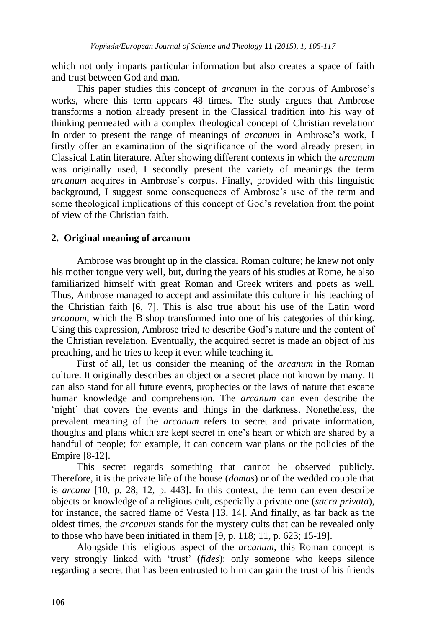which not only imparts particular information but also creates a space of faith and trust between God and man.

This paper studies this concept of *arcanum* in the corpus of Ambrose"s works, where this term appears 48 times. The study argues that Ambrose transforms a notion already present in the Classical tradition into his way of thinking permeated with a complex theological concept of Christian revelation. In order to present the range of meanings of *arcanum* in Ambrose's work, I firstly offer an examination of the significance of the word already present in Classical Latin literature. After showing different contexts in which the *arcanum* was originally used, I secondly present the variety of meanings the term *arcanum* acquires in Ambrose"s corpus. Finally, provided with this linguistic background, I suggest some consequences of Ambrose's use of the term and some theological implications of this concept of God"s revelation from the point of view of the Christian faith.

### **2. Original meaning of arcanum**

Ambrose was brought up in the classical Roman culture; he knew not only his mother tongue very well, but, during the years of his studies at Rome, he also familiarized himself with great Roman and Greek writers and poets as well. Thus, Ambrose managed to accept and assimilate this culture in his teaching of the Christian faith [6, 7]. This is also true about his use of the Latin word *arcanum*, which the Bishop transformed into one of his categories of thinking. Using this expression, Ambrose tried to describe God"s nature and the content of the Christian revelation. Eventually, the acquired secret is made an object of his preaching, and he tries to keep it even while teaching it.

First of all, let us consider the meaning of the *arcanum* in the Roman culture. It originally describes an object or a secret place not known by many. It can also stand for all future events, prophecies or the laws of nature that escape human knowledge and comprehension. The *arcanum* can even describe the 'night' that covers the events and things in the darkness. Nonetheless, the prevalent meaning of the *arcanum* refers to secret and private information, thoughts and plans which are kept secret in one"s heart or which are shared by a handful of people; for example, it can concern war plans or the policies of the Empire [8-12].

This secret regards something that cannot be observed publicly. Therefore, it is the private life of the house (*domus*) or of the wedded couple that is *arcana* [10, p. 28; 12, p. 443]. In this context, the term can even describe objects or knowledge of a religious cult, especially a private one (*sacra privata*), for instance, the sacred flame of Vesta [13, 14]. And finally, as far back as the oldest times, the *arcanum* stands for the mystery cults that can be revealed only to those who have been initiated in them [9, p. 118; 11, p. 623; 15-19].

Alongside this religious aspect of the *arcanum*, this Roman concept is very strongly linked with "trust" (*fides*): only someone who keeps silence regarding a secret that has been entrusted to him can gain the trust of his friends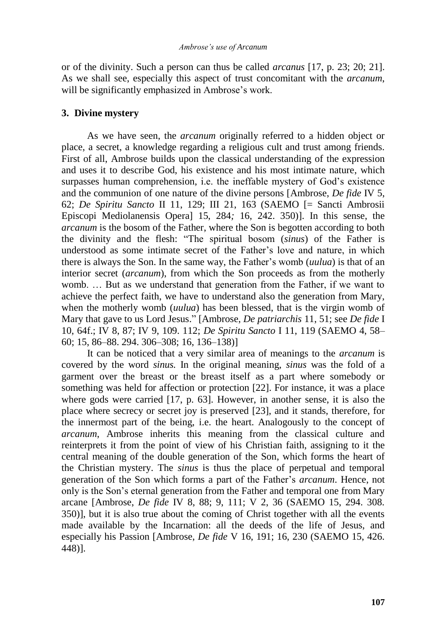or of the divinity. Such a person can thus be called *arcanus* [17, p. 23; 20; 21]. As we shall see, especially this aspect of trust concomitant with the *arcanum*, will be significantly emphasized in Ambrose's work.

## **3. Divine mystery**

As we have seen, the *arcanum* originally referred to a hidden object or place, a secret, a knowledge regarding a religious cult and trust among friends. First of all, Ambrose builds upon the classical understanding of the expression and uses it to describe God, his existence and his most intimate nature, which surpasses human comprehension, i.e. the ineffable mystery of God"s existence and the communion of one nature of the divine persons [Ambrose, *De fide* IV 5, 62; *De Spiritu Sancto* II 11, 129; III 21, 163 (SAEMO [= Sancti Ambrosii Episcopi Mediolanensis Opera] 15, 284*;* 16, 242. 350)]. In this sense, the *arcanum* is the bosom of the Father, where the Son is begotten according to both the divinity and the flesh: "The spiritual bosom (*sinus*) of the Father is understood as some intimate secret of the Father"s love and nature, in which there is always the Son. In the same way, the Father"s womb (*uulua*) is that of an interior secret (*arcanum*), from which the Son proceeds as from the motherly womb. … But as we understand that generation from the Father, if we want to achieve the perfect faith, we have to understand also the generation from Mary, when the motherly womb (*uulua*) has been blessed, that is the virgin womb of Mary that gave to us Lord Jesus." [Ambrose, *De patriarchis* 11, 51; see *De fide* I 10, 64f.; IV 8, 87; IV 9, 109. 112; *De Spiritu Sancto* I 11, 119 (SAEMO 4, 58– 60; 15, 86–88. 294. 306–308; 16, 136–138)]

It can be noticed that a very similar area of meanings to the *arcanum* is covered by the word *sinus.* In the original meaning, *sinus* was the fold of a garment over the breast or the breast itself as a part where somebody or something was held for affection or protection [22]. For instance, it was a place where gods were carried [17, p. 63]. However, in another sense, it is also the place where secrecy or secret joy is preserved [23], and it stands, therefore, for the innermost part of the being, i.e. the heart. Analogously to the concept of *arcanum*, Ambrose inherits this meaning from the classical culture and reinterprets it from the point of view of his Christian faith, assigning to it the central meaning of the double generation of the Son, which forms the heart of the Christian mystery. The *sinus* is thus the place of perpetual and temporal generation of the Son which forms a part of the Father"s *arcanum*. Hence, not only is the Son"s eternal generation from the Father and temporal one from Mary arcane [Ambrose, *De fide* IV 8, 88; 9, 111; V 2, 36 (SAEMO 15, 294. 308. 350)], but it is also true about the coming of Christ together with all the events made available by the Incarnation: all the deeds of the life of Jesus, and especially his Passion [Ambrose, *De fide* V 16, 191; 16, 230 (SAEMO 15, 426. 448)].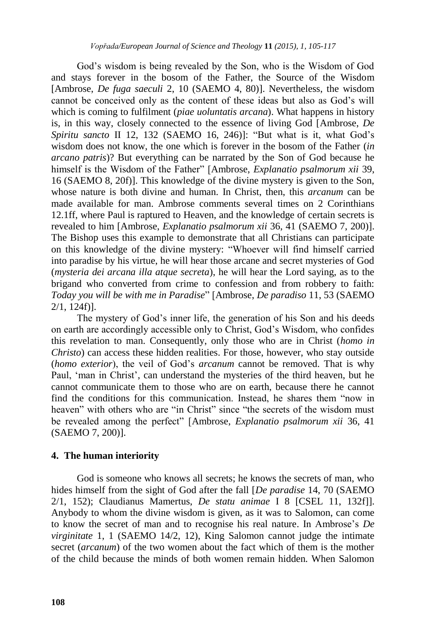God"s wisdom is being revealed by the Son, who is the Wisdom of God and stays forever in the bosom of the Father, the Source of the Wisdom [Ambrose, *De fuga saeculi* 2, 10 (SAEMO 4, 80)]. Nevertheless, the wisdom cannot be conceived only as the content of these ideas but also as God"s will which is coming to fulfilment (*piae uoluntatis arcana*). What happens in history is, in this way, closely connected to the essence of living God [Ambrose, *De Spiritu sancto* II 12, 132 (SAEMO 16, 246)]: "But what is it, what God"s wisdom does not know, the one which is forever in the bosom of the Father (*in arcano patris*)? But everything can be narrated by the Son of God because he himself is the Wisdom of the Father" [Ambrose, *Explanatio psalmorum xii* 39, 16 (SAEMO 8, 20f)]. This knowledge of the divine mystery is given to the Son, whose nature is both divine and human. In Christ, then, this *arcanum* can be made available for man. Ambrose comments several times on 2 Corinthians 12.1ff, where Paul is raptured to Heaven, and the knowledge of certain secrets is revealed to him [Ambrose, *Explanatio psalmorum xii* 36, 41 (SAEMO 7, 200)]. The Bishop uses this example to demonstrate that all Christians can participate on this knowledge of the divine mystery: "Whoever will find himself carried into paradise by his virtue, he will hear those arcane and secret mysteries of God (*mysteria dei arcana illa atque secreta*), he will hear the Lord saying, as to the brigand who converted from crime to confession and from robbery to faith: *Today you will be with me in Paradise*" [Ambrose, *De paradiso* 11, 53 (SAEMO 2/1, 124f)].

The mystery of God"s inner life, the generation of his Son and his deeds on earth are accordingly accessible only to Christ, God"s Wisdom, who confides this revelation to man. Consequently, only those who are in Christ (*homo in Christo*) can access these hidden realities. For those, however, who stay outside (*homo exterior*), the veil of God"s *arcanum* cannot be removed. That is why Paul, "man in Christ", can understand the mysteries of the third heaven, but he cannot communicate them to those who are on earth, because there he cannot find the conditions for this communication. Instead, he shares them "now in heaven" with others who are "in Christ" since "the secrets of the wisdom must be revealed among the perfect" [Ambrose, *Explanatio psalmorum xii* 36, 41 (SAEMO 7, 200)].

#### **4. The human interiority**

God is someone who knows all secrets; he knows the secrets of man, who hides himself from the sight of God after the fall [*De paradise* 14, 70 (SAEMO 2/1, 152); Claudianus Mamertus, *De statu animae* I 8 [CSEL 11, 132f]]. Anybody to whom the divine wisdom is given, as it was to Salomon, can come to know the secret of man and to recognise his real nature. In Ambrose"s *De virginitate* 1, 1 (SAEMO 14/2, 12), King Salomon cannot judge the intimate secret (*arcanum*) of the two women about the fact which of them is the mother of the child because the minds of both women remain hidden. When Salomon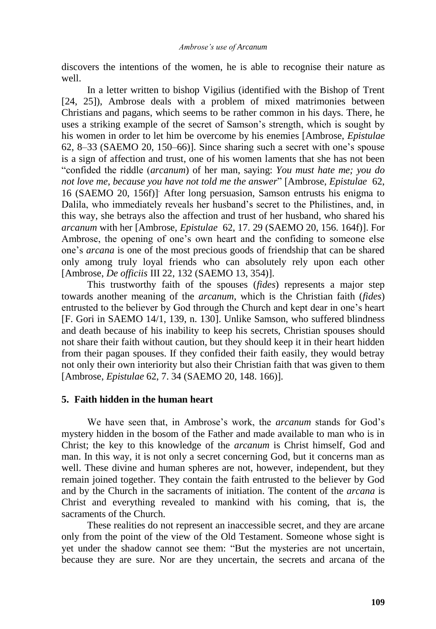discovers the intentions of the women, he is able to recognise their nature as well.

In a letter written to bishop Vigilius (identified with the Bishop of Trent [24, 25]), Ambrose deals with a problem of mixed matrimonies between Christians and pagans, which seems to be rather common in his days. There, he uses a striking example of the secret of Samson"s strength, which is sought by his women in order to let him be overcome by his enemies [Ambrose, *Epistulae*  62, 8–33 (SAEMO 20, 150–66)]. Since sharing such a secret with one"s spouse is a sign of affection and trust, one of his women laments that she has not been "confided the riddle (*arcanum*) of her man, saying: *You must hate me; you do not love me, because you have not told me the answer*" [Ambrose, *Epistulae* 62, 16 (SAEMO 20, 156f)] . After long persuasion, Samson entrusts his enigma to Dalila, who immediately reveals her husband"s secret to the Philistines, and, in this way, she betrays also the affection and trust of her husband, who shared his *arcanum* with her [Ambrose, *Epistulae* 62, 17. 29 (SAEMO 20, 156. 164f)]. For Ambrose, the opening of one"s own heart and the confiding to someone else one"s *arcana* is one of the most precious goods of friendship that can be shared only among truly loyal friends who can absolutely rely upon each other [Ambrose, *De officiis* III 22, 132 (SAEMO 13, 354)].

This trustworthy faith of the spouses (*fides*) represents a major step towards another meaning of the *arcanum*, which is the Christian faith (*fides*) entrusted to the believer by God through the Church and kept dear in one"s heart [F. Gori in SAEMO 14/1, 139, n. 130]. Unlike Samson, who suffered blindness and death because of his inability to keep his secrets, Christian spouses should not share their faith without caution, but they should keep it in their heart hidden from their pagan spouses. If they confided their faith easily, they would betray not only their own interiority but also their Christian faith that was given to them [Ambrose, *Epistulae* 62, 7. 34 (SAEMO 20, 148. 166)].

#### **5. Faith hidden in the human heart**

We have seen that, in Ambrose's work, the *arcanum* stands for God's mystery hidden in the bosom of the Father and made available to man who is in Christ; the key to this knowledge of the *arcanum* is Christ himself, God and man. In this way, it is not only a secret concerning God, but it concerns man as well. These divine and human spheres are not, however, independent, but they remain joined together. They contain the faith entrusted to the believer by God and by the Church in the sacraments of initiation. The content of the *arcana* is Christ and everything revealed to mankind with his coming, that is, the sacraments of the Church.

These realities do not represent an inaccessible secret, and they are arcane only from the point of the view of the Old Testament. Someone whose sight is yet under the shadow cannot see them: "But the mysteries are not uncertain, because they are sure. Nor are they uncertain, the secrets and arcana of the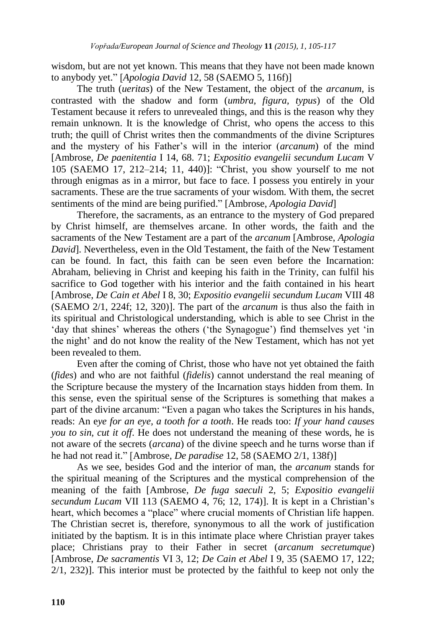wisdom, but are not yet known. This means that they have not been made known to anybody yet." [*Apologia David* 12, 58 (SAEMO 5, 116f)]

The truth (*ueritas*) of the New Testament, the object of the *arcanum*, is contrasted with the shadow and form (*umbra, figura, typus*) of the Old Testament because it refers to unrevealed things, and this is the reason why they remain unknown. It is the knowledge of Christ, who opens the access to this truth; the quill of Christ writes then the commandments of the divine Scriptures and the mystery of his Father"s will in the interior (*arcanum*) of the mind [Ambrose, *De paenitentia* I 14, 68. 71; *Expositio evangelii secundum Lucam* V 105 (SAEMO 17, 212–214; 11, 440)]: "Christ, you show yourself to me not through enigmas as in a mirror, but face to face. I possess you entirely in your sacraments. These are the true sacraments of your wisdom. With them, the secret sentiments of the mind are being purified." [Ambrose, *Apologia David*]

Therefore, the sacraments, as an entrance to the mystery of God prepared by Christ himself, are themselves arcane. In other words, the faith and the sacraments of the New Testament are a part of the *arcanum* [Ambrose, *Apologia David*]. Nevertheless, even in the Old Testament, the faith of the New Testament can be found. In fact, this faith can be seen even before the Incarnation: Abraham, believing in Christ and keeping his faith in the Trinity, can fulfil his sacrifice to God together with his interior and the faith contained in his heart [Ambrose, *De Cain et Abel* I 8, 30; *Expositio evangelii secundum Lucam* VIII 48 (SAEMO 2/1, 224f; 12, 320)]. The part of the *arcanum* is thus also the faith in its spiritual and Christological understanding, which is able to see Christ in the 'day that shines' whereas the others ('the Synagogue') find themselves yet 'in the night" and do not know the reality of the New Testament, which has not yet been revealed to them.

Even after the coming of Christ, those who have not yet obtained the faith (*fides*) and who are not faithful (*fidelis*) cannot understand the real meaning of the Scripture because the mystery of the Incarnation stays hidden from them. In this sense, even the spiritual sense of the Scriptures is something that makes a part of the divine arcanum: "Even a pagan who takes the Scriptures in his hands, reads: An e*ye for an eye, a tooth for a tooth*. He reads too: *If your hand causes you to sin, cut it off*. He does not understand the meaning of these words, he is not aware of the secrets (*arcana*) of the divine speech and he turns worse than if he had not read it." [Ambrose, *De paradise* 12, 58 (SAEMO 2/1, 138f)]

As we see, besides God and the interior of man, the *arcanum* stands for the spiritual meaning of the Scriptures and the mystical comprehension of the meaning of the faith [Ambrose, *De fuga saeculi* 2, 5; *Expositio evangelii secundum Lucam* VII 113 (SAEMO 4, 76; 12, 174)]. It is kept in a Christian"s heart, which becomes a "place" where crucial moments of Christian life happen. The Christian secret is, therefore, synonymous to all the work of justification initiated by the baptism. It is in this intimate place where Christian prayer takes place; Christians pray to their Father in secret (*arcanum secretumque*) [Ambrose, *De sacramentis* VI 3, 12; *De Cain et Abel* I 9, 35 (SAEMO 17, 122; 2/1, 232)]. This interior must be protected by the faithful to keep not only the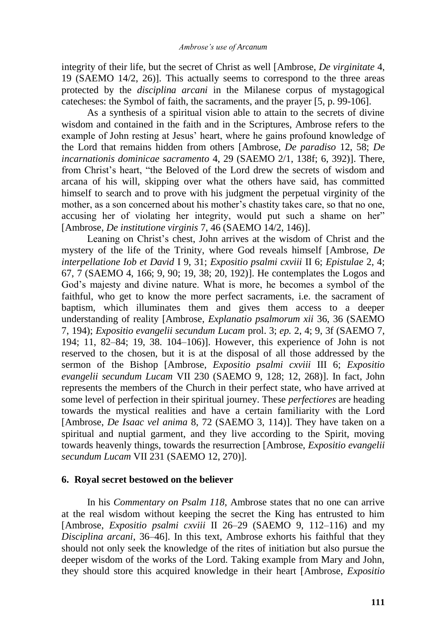integrity of their life, but the secret of Christ as well [Ambrose, *De virginitate* 4, 19 (SAEMO 14/2, 26)]. This actually seems to correspond to the three areas protected by the *disciplina arcani* in the Milanese corpus of mystagogical catecheses: the Symbol of faith, the sacraments, and the prayer [5, p. 99-106].

As a synthesis of a spiritual vision able to attain to the secrets of divine wisdom and contained in the faith and in the Scriptures, Ambrose refers to the example of John resting at Jesus" heart, where he gains profound knowledge of the Lord that remains hidden from others [Ambrose, *De paradiso* 12, 58; *De incarnationis dominicae sacramento* 4, 29 (SAEMO 2/1, 138f; 6, 392)]. There, from Christ"s heart, "the Beloved of the Lord drew the secrets of wisdom and arcana of his will, skipping over what the others have said, has committed himself to search and to prove with his judgment the perpetual virginity of the mother, as a son concerned about his mother's chastity takes care, so that no one, accusing her of violating her integrity, would put such a shame on her" [Ambrose, *De institutione virginis* 7, 46 (SAEMO 14/2, 146)].

Leaning on Christ's chest, John arrives at the wisdom of Christ and the mystery of the life of the Trinity, where God reveals himself [Ambrose, *De interpellatione Iob et David* I 9, 31; *Expositio psalmi cxviii* II 6; *Epistulae* 2, 4; 67, 7 (SAEMO 4, 166; 9, 90; 19, 38; 20, 192)]. He contemplates the Logos and God"s majesty and divine nature. What is more, he becomes a symbol of the faithful, who get to know the more perfect sacraments, i.e. the sacrament of baptism, which illuminates them and gives them access to a deeper understanding of reality [Ambrose, *Explanatio psalmorum xii* 36, 36 (SAEMO 7, 194); *Expositio evangelii secundum Lucam* prol. 3; *ep.* 2, 4; 9, 3f (SAEMO 7, 194; 11, 82–84; 19, 38. 104–106)]. However, this experience of John is not reserved to the chosen, but it is at the disposal of all those addressed by the sermon of the Bishop [Ambrose, *Expositio psalmi cxviii* III 6; *Expositio evangelii secundum Lucam* VII 230 (SAEMO 9, 128; 12, 268)]. In fact, John represents the members of the Church in their perfect state, who have arrived at some level of perfection in their spiritual journey. These *perfectiores* are heading towards the mystical realities and have a certain familiarity with the Lord [Ambrose, *De Isaac vel anima* 8, 72 (SAEMO 3, 114)]. They have taken on a spiritual and nuptial garment, and they live according to the Spirit, moving towards heavenly things, towards the resurrection [Ambrose, *Expositio evangelii secundum Lucam* VII 231 (SAEMO 12, 270)].

#### **6. Royal secret bestowed on the believer**

In his *Commentary on Psalm 118*, Ambrose states that no one can arrive at the real wisdom without keeping the secret the King has entrusted to him [Ambrose, *Expositio psalmi cxviii* II 26–29 (SAEMO 9, 112–116) and my *Disciplina arcani*, 36–46]. In this text, Ambrose exhorts his faithful that they should not only seek the knowledge of the rites of initiation but also pursue the deeper wisdom of the works of the Lord. Taking example from Mary and John, they should store this acquired knowledge in their heart [Ambrose, *Expositio*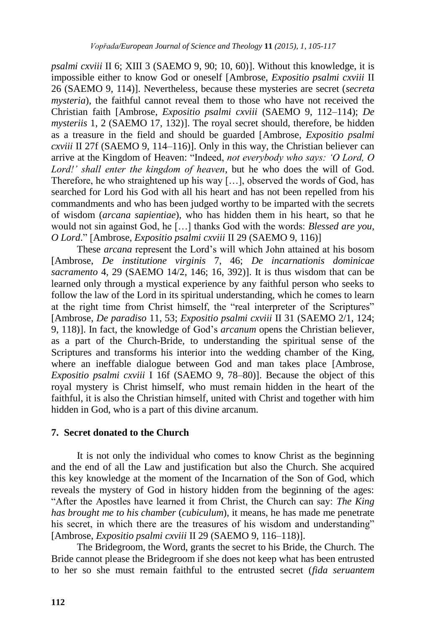*psalmi cxviii* II 6; XIII 3 (SAEMO 9, 90; 10, 60)]. Without this knowledge, it is impossible either to know God or oneself [Ambrose, *Expositio psalmi cxviii* II 26 (SAEMO 9, 114)]. Nevertheless, because these mysteries are secret (*secreta mysteria*), the faithful cannot reveal them to those who have not received the Christian faith [Ambrose, *Expositio psalmi cxviii* (SAEMO 9, 112–114); *De mysteriis* 1, 2 (SAEMO 17, 132)]. The royal secret should, therefore, be hidden as a treasure in the field and should be guarded [Ambrose, *Expositio psalmi cxviii* II 27f (SAEMO 9, 114–116)]. Only in this way, the Christian believer can arrive at the Kingdom of Heaven: "Indeed, *not everybody who says: "O Lord, O Lord!" shall enter the kingdom of heaven*, but he who does the will of God. Therefore, he who straightened up his way […], observed the words of God, has searched for Lord his God with all his heart and has not been repelled from his commandments and who has been judged worthy to be imparted with the secrets of wisdom (*arcana sapientiae*), who has hidden them in his heart, so that he would not sin against God, he […] thanks God with the words: *Blessed are you, O Lord*." [Ambrose, *Expositio psalmi cxviii* II 29 (SAEMO 9, 116)]

These *arcana* represent the Lord"s will which John attained at his bosom [Ambrose, *De institutione virginis* 7, 46; *De incarnationis dominicae sacramento* 4, 29 (SAEMO 14/2, 146; 16, 392)]. It is thus wisdom that can be learned only through a mystical experience by any faithful person who seeks to follow the law of the Lord in its spiritual understanding, which he comes to learn at the right time from Christ himself, the "real interpreter of the Scriptures" [Ambrose, *De paradiso* 11, 53; *Expositio psalmi cxviii* II 31 (SAEMO 2/1, 124; 9, 118)]. In fact, the knowledge of God"s *arcanum* opens the Christian believer, as a part of the Church-Bride, to understanding the spiritual sense of the Scriptures and transforms his interior into the wedding chamber of the King, where an ineffable dialogue between God and man takes place [Ambrose, *Expositio psalmi cxviii* I 16f (SAEMO 9, 78–80)]. Because the object of this royal mystery is Christ himself, who must remain hidden in the heart of the faithful, it is also the Christian himself, united with Christ and together with him hidden in God, who is a part of this divine arcanum.

# **7. Secret donated to the Church**

It is not only the individual who comes to know Christ as the beginning and the end of all the Law and justification but also the Church. She acquired this key knowledge at the moment of the Incarnation of the Son of God, which reveals the mystery of God in history hidden from the beginning of the ages: "After the Apostles have learned it from Christ, the Church can say: *The King has brought me to his chamber* (*cubiculum*), it means, he has made me penetrate his secret, in which there are the treasures of his wisdom and understanding" [Ambrose, *Expositio psalmi cxviii* II 29 (SAEMO 9, 116–118)].

The Bridegroom, the Word, grants the secret to his Bride, the Church. The Bride cannot please the Bridegroom if she does not keep what has been entrusted to her so she must remain faithful to the entrusted secret (*fida seruantem*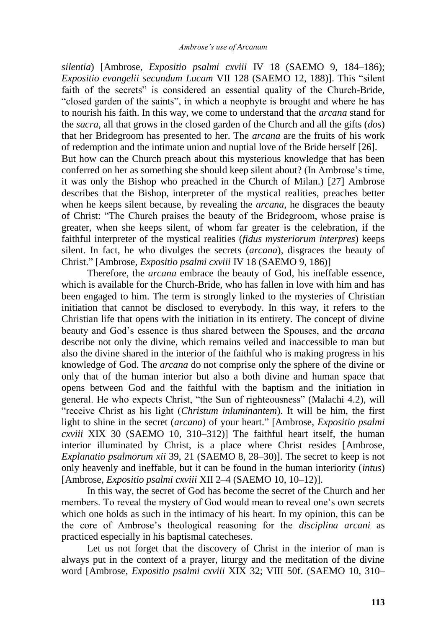*silentia*) [Ambrose, *Expositio psalmi cxviii* IV 18 (SAEMO 9, 184–186); *Expositio evangelii secundum Lucam* VII 128 (SAEMO 12, 188)]. This "silent faith of the secrets" is considered an essential quality of the Church-Bride, "closed garden of the saints", in which a neophyte is brought and where he has to nourish his faith. In this way, we come to understand that the *arcana* stand for the *sacra*, all that grows in the closed garden of the Church and all the gifts (*dos*) that her Bridegroom has presented to her. The *arcana* are the fruits of his work of redemption and the intimate union and nuptial love of the Bride herself [26]. But how can the Church preach about this mysterious knowledge that has been conferred on her as something she should keep silent about? (In Ambrose"s time, it was only the Bishop who preached in the Church of Milan.) [27] Ambrose describes that the Bishop, interpreter of the mystical realities, preaches better when he keeps silent because, by revealing the *arcana*, he disgraces the beauty of Christ: "The Church praises the beauty of the Bridegroom, whose praise is greater, when she keeps silent, of whom far greater is the celebration, if the faithful interpreter of the mystical realities (*fidus mysteriorum interpres*) keeps silent. In fact, he who divulges the secrets (*arcana*), disgraces the beauty of Christ." [Ambrose, *Expositio psalmi cxviii* IV 18 (SAEMO 9, 186)]

Therefore, the *arcana* embrace the beauty of God, his ineffable essence, which is available for the Church-Bride, who has fallen in love with him and has been engaged to him. The term is strongly linked to the mysteries of Christian initiation that cannot be disclosed to everybody. In this way, it refers to the Christian life that opens with the initiation in its entirety. The concept of divine beauty and God"s essence is thus shared between the Spouses, and the *arcana* describe not only the divine, which remains veiled and inaccessible to man but also the divine shared in the interior of the faithful who is making progress in his knowledge of God. The *arcana* do not comprise only the sphere of the divine or only that of the human interior but also a both divine and human space that opens between God and the faithful with the baptism and the initiation in general. He who expects Christ, "the Sun of righteousness" (Malachi 4.2), will "receive Christ as his light (*Christum inluminantem*). It will be him, the first light to shine in the secret (*arcano*) of your heart." [Ambrose, *Expositio psalmi cxviii* XIX 30 (SAEMO 10, 310–312)] The faithful heart itself, the human interior illuminated by Christ, is a place where Christ resides [Ambrose, *Explanatio psalmorum xii* 39, 21 (SAEMO 8, 28–30)]. The secret to keep is not only heavenly and ineffable, but it can be found in the human interiority (*intus*) [Ambrose, *Expositio psalmi cxviii* XII 2–4 (SAEMO 10, 10–12)].

In this way, the secret of God has become the secret of the Church and her members. To reveal the mystery of God would mean to reveal one"s own secrets which one holds as such in the intimacy of his heart. In my opinion, this can be the core of Ambrose"s theological reasoning for the *disciplina arcani* as practiced especially in his baptismal catecheses.

Let us not forget that the discovery of Christ in the interior of man is always put in the context of a prayer, liturgy and the meditation of the divine word [Ambrose, *Expositio psalmi cxviii* XIX 32; VIII 50f. (SAEMO 10, 310–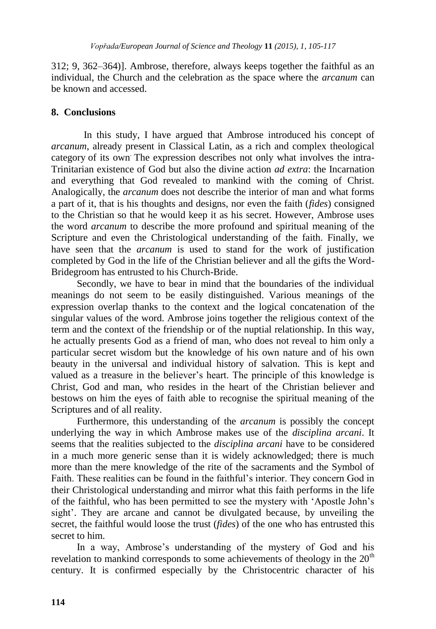312; 9, 362–364)]. Ambrose, therefore, always keeps together the faithful as an individual, the Church and the celebration as the space where the *arcanum* can be known and accessed.

# **8. Conclusions**

In this study, I have argued that Ambrose introduced his concept of *arcanum*, already present in Classical Latin, as a rich and complex theological category of its own. The expression describes not only what involves the intra-Trinitarian existence of God but also the divine action *ad extra*: the Incarnation and everything that God revealed to mankind with the coming of Christ. Analogically, the *arcanum* does not describe the interior of man and what forms a part of it, that is his thoughts and designs, nor even the faith (*fides*) consigned to the Christian so that he would keep it as his secret. However, Ambrose uses the word *arcanum* to describe the more profound and spiritual meaning of the Scripture and even the Christological understanding of the faith. Finally, we have seen that the *arcanum* is used to stand for the work of justification completed by God in the life of the Christian believer and all the gifts the Word-Bridegroom has entrusted to his Church-Bride.

Secondly, we have to bear in mind that the boundaries of the individual meanings do not seem to be easily distinguished. Various meanings of the expression overlap thanks to the context and the logical concatenation of the singular values of the word. Ambrose joins together the religious context of the term and the context of the friendship or of the nuptial relationship. In this way, he actually presents God as a friend of man, who does not reveal to him only a particular secret wisdom but the knowledge of his own nature and of his own beauty in the universal and individual history of salvation. This is kept and valued as a treasure in the believer"s heart. The principle of this knowledge is Christ, God and man, who resides in the heart of the Christian believer and bestows on him the eyes of faith able to recognise the spiritual meaning of the Scriptures and of all reality.

Furthermore, this understanding of the *arcanum* is possibly the concept underlying the way in which Ambrose makes use of the *disciplina arcani*. It seems that the realities subjected to the *disciplina arcani* have to be considered in a much more generic sense than it is widely acknowledged; there is much more than the mere knowledge of the rite of the sacraments and the Symbol of Faith. These realities can be found in the faithful"s interior. They concern God in their Christological understanding and mirror what this faith performs in the life of the faithful, who has been permitted to see the mystery with "Apostle John"s sight'. They are arcane and cannot be divulgated because, by unveiling the secret, the faithful would loose the trust (*fides*) of the one who has entrusted this secret to him.

In a way, Ambrose's understanding of the mystery of God and his revelation to mankind corresponds to some achievements of theology in the  $20<sup>th</sup>$ century. It is confirmed especially by the Christocentric character of his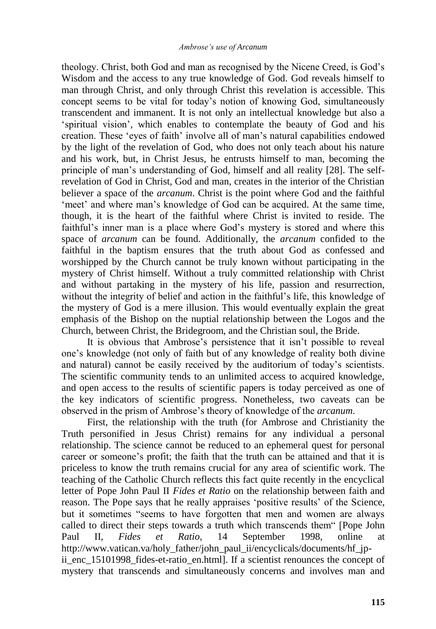theology. Christ, both God and man as recognised by the Nicene Creed, is God"s Wisdom and the access to any true knowledge of God. God reveals himself to man through Christ, and only through Christ this revelation is accessible. This concept seems to be vital for today"s notion of knowing God, simultaneously transcendent and immanent. It is not only an intellectual knowledge but also a "spiritual vision", which enables to contemplate the beauty of God and his creation. These "eyes of faith" involve all of man"s natural capabilities endowed by the light of the revelation of God, who does not only teach about his nature and his work, but, in Christ Jesus, he entrusts himself to man, becoming the principle of man"s understanding of God, himself and all reality [28]. The selfrevelation of God in Christ, God and man, creates in the interior of the Christian believer a space of the *arcanum*. Christ is the point where God and the faithful "meet" and where man"s knowledge of God can be acquired. At the same time, though, it is the heart of the faithful where Christ is invited to reside. The faithful's inner man is a place where God's mystery is stored and where this space of *arcanum* can be found. Additionally, the *arcanum* confided to the faithful in the baptism ensures that the truth about God as confessed and worshipped by the Church cannot be truly known without participating in the mystery of Christ himself. Without a truly committed relationship with Christ and without partaking in the mystery of his life, passion and resurrection, without the integrity of belief and action in the faithful's life, this knowledge of the mystery of God is a mere illusion. This would eventually explain the great emphasis of the Bishop on the nuptial relationship between the Logos and the Church, between Christ, the Bridegroom, and the Christian soul, the Bride.

It is obvious that Ambrose's persistence that it isn't possible to reveal one"s knowledge (not only of faith but of any knowledge of reality both divine and natural) cannot be easily received by the auditorium of today's scientists. The scientific community tends to an unlimited access to acquired knowledge, and open access to the results of scientific papers is today perceived as one of the key indicators of scientific progress. Nonetheless, two caveats can be observed in the prism of Ambrose"s theory of knowledge of the *arcanum*.

First, the relationship with the truth (for Ambrose and Christianity the Truth personified in Jesus Christ) remains for any individual a personal relationship. The science cannot be reduced to an ephemeral quest for personal career or someone"s profit; the faith that the truth can be attained and that it is priceless to know the truth remains crucial for any area of scientific work. The teaching of the Catholic Church reflects this fact quite recently in the encyclical letter of Pope John Paul II *Fides et Ratio* on the relationship between faith and reason. The Pope says that he really appraises "positive results" of the Science, but it sometimes "seems to have forgotten that men and women are always called to direct their steps towards a truth which transcends them" [Pope John Paul II, *Fides et Ratio*, 14 September 1998, online at http://www.vatican.va/holy\_father/john\_paul\_ii/encyclicals/documents/hf\_jpii\_enc\_15101998\_fides-et-ratio\_en.html]. If a scientist renounces the concept of mystery that transcends and simultaneously concerns and involves man and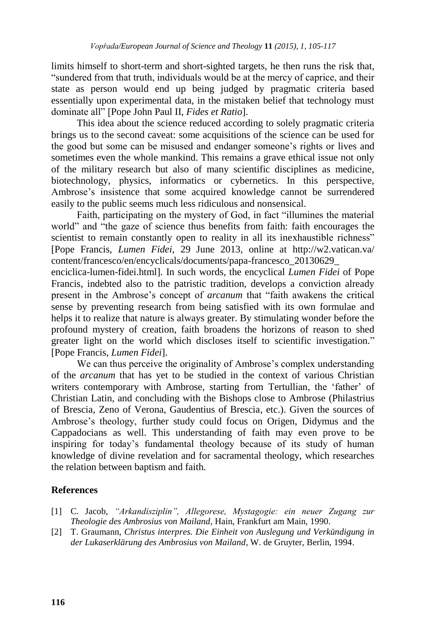limits himself to short-term and short-sighted targets, he then runs the risk that, "sundered from that truth, individuals would be at the mercy of caprice, and their state as person would end up being judged by pragmatic criteria based essentially upon experimental data, in the mistaken belief that technology must dominate all" [Pope John Paul II, *Fides et Ratio*].

This idea about the science reduced according to solely pragmatic criteria brings us to the second caveat: some acquisitions of the science can be used for the good but some can be misused and endanger someone"s rights or lives and sometimes even the whole mankind. This remains a grave ethical issue not only of the military research but also of many scientific disciplines as medicine, biotechnology, physics, informatics or cybernetics. In this perspective, Ambrose"s insistence that some acquired knowledge cannot be surrendered easily to the public seems much less ridiculous and nonsensical.

Faith, participating on the mystery of God, in fact "illumines the material world" and "the gaze of science thus benefits from faith: faith encourages the scientist to remain constantly open to reality in all its inexhaustible richness" [Pope Francis, *Lumen Fidei*, 29 June 2013, online at http://w2.vatican.va/ content/francesco/en/encyclicals/documents/papa-francesco\_20130629\_

enciclica-lumen-fidei.html]. In such words, the encyclical *Lumen Fidei* of Pope Francis, indebted also to the patristic tradition, develops a conviction already present in the Ambrose"s concept of *arcanum* that "faith awakens the critical sense by preventing research from being satisfied with its own formulae and helps it to realize that nature is always greater. By stimulating wonder before the profound mystery of creation, faith broadens the horizons of reason to shed greater light on the world which discloses itself to scientific investigation." [Pope Francis, *Lumen Fidei*].

We can thus perceive the originality of Ambrose's complex understanding of the *arcanum* that has yet to be studied in the context of various Christian writers contemporary with Ambrose, starting from Tertullian, the 'father' of Christian Latin, and concluding with the Bishops close to Ambrose (Philastrius of Brescia, Zeno of Verona, Gaudentius of Brescia, etc.). Given the sources of Ambrose"s theology, further study could focus on Origen, Didymus and the Cappadocians as well. This understanding of faith may even prove to be inspiring for today"s fundamental theology because of its study of human knowledge of divine revelation and for sacramental theology, which researches the relation between baptism and faith.

# **References**

- [1] C. Jacob, *"Arkandisziplin", Allegorese, Mystagogie: ein neuer Zugang zur Theologie des Ambrosius von Mailand*, Hain, Frankfurt am Main, 1990.
- [2] T. Graumann, *Christus interpres. Die Einheit von Auslegung und Verkündigung in der Lukaserklärung des Ambrosius von Mailand*, W. de Gruyter, Berlin, 1994.